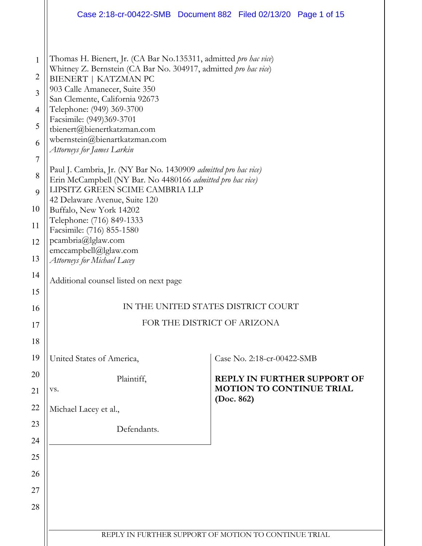|                                                                                                                                  | Case 2:18-cr-00422-SMB  Document 882  Filed 02/13/20  Page 1 of 15                                                                                                                                                                                                                                                                                                                                                                                                                                                                                                                                                                                                                                                                                            |  |                                               |                                    |  |
|----------------------------------------------------------------------------------------------------------------------------------|---------------------------------------------------------------------------------------------------------------------------------------------------------------------------------------------------------------------------------------------------------------------------------------------------------------------------------------------------------------------------------------------------------------------------------------------------------------------------------------------------------------------------------------------------------------------------------------------------------------------------------------------------------------------------------------------------------------------------------------------------------------|--|-----------------------------------------------|------------------------------------|--|
| $\mathbf{1}$<br>$\overline{2}$<br>$\overline{3}$<br>$\overline{4}$<br>5<br>6<br>$\overline{7}$<br>8<br>9<br>10<br>11<br>12<br>13 | Thomas H. Bienert, Jr. (CA Bar No.135311, admitted pro hac vice)<br>Whitney Z. Bernstein (CA Bar No. 304917, admitted pro hac vice)<br>BIENERT   KATZMAN PC<br>903 Calle Amanecer, Suite 350<br>San Clemente, California 92673<br>Telephone: (949) 369-3700<br>Facsimile: (949)369-3701<br>tbienert@bienertkatzman.com<br>wbernstein@bienartkatzman.com<br>Attorneys for James Larkin<br>Paul J. Cambria, Jr. (NY Bar No. 1430909 admitted pro hac vice)<br>Erin McCampbell (NY Bar. No 4480166 admitted pro hac vice)<br>LIPSITZ GREEN SCIME CAMBRIA LLP<br>42 Delaware Avenue, Suite 120<br>Buffalo, New York 14202<br>Telephone: (716) 849-1333<br>Facsimile: (716) 855-1580<br>pcambria@lglaw.com<br>emccampbell@lglaw.com<br>Attorneys for Michael Lacey |  |                                               |                                    |  |
| 14                                                                                                                               | Additional counsel listed on next page                                                                                                                                                                                                                                                                                                                                                                                                                                                                                                                                                                                                                                                                                                                        |  |                                               |                                    |  |
| 15<br>16                                                                                                                         | IN THE UNITED STATES DISTRICT COURT                                                                                                                                                                                                                                                                                                                                                                                                                                                                                                                                                                                                                                                                                                                           |  |                                               |                                    |  |
| 17                                                                                                                               | FOR THE DISTRICT OF ARIZONA                                                                                                                                                                                                                                                                                                                                                                                                                                                                                                                                                                                                                                                                                                                                   |  |                                               |                                    |  |
| 18                                                                                                                               |                                                                                                                                                                                                                                                                                                                                                                                                                                                                                                                                                                                                                                                                                                                                                               |  |                                               |                                    |  |
| 19                                                                                                                               | United States of America,                                                                                                                                                                                                                                                                                                                                                                                                                                                                                                                                                                                                                                                                                                                                     |  | Case No. 2:18-cr-00422-SMB                    |                                    |  |
| 20                                                                                                                               | Plaintiff,                                                                                                                                                                                                                                                                                                                                                                                                                                                                                                                                                                                                                                                                                                                                                    |  |                                               | <b>REPLY IN FURTHER SUPPORT OF</b> |  |
| 21                                                                                                                               | VS.                                                                                                                                                                                                                                                                                                                                                                                                                                                                                                                                                                                                                                                                                                                                                           |  | <b>MOTION TO CONTINUE TRIAL</b><br>(Doc. 862) |                                    |  |
| 22                                                                                                                               | Michael Lacey et al.,                                                                                                                                                                                                                                                                                                                                                                                                                                                                                                                                                                                                                                                                                                                                         |  |                                               |                                    |  |
| 23                                                                                                                               | Defendants.                                                                                                                                                                                                                                                                                                                                                                                                                                                                                                                                                                                                                                                                                                                                                   |  |                                               |                                    |  |
| 24<br>25                                                                                                                         |                                                                                                                                                                                                                                                                                                                                                                                                                                                                                                                                                                                                                                                                                                                                                               |  |                                               |                                    |  |
| 26                                                                                                                               |                                                                                                                                                                                                                                                                                                                                                                                                                                                                                                                                                                                                                                                                                                                                                               |  |                                               |                                    |  |
| 27                                                                                                                               |                                                                                                                                                                                                                                                                                                                                                                                                                                                                                                                                                                                                                                                                                                                                                               |  |                                               |                                    |  |
| 28                                                                                                                               |                                                                                                                                                                                                                                                                                                                                                                                                                                                                                                                                                                                                                                                                                                                                                               |  |                                               |                                    |  |
|                                                                                                                                  |                                                                                                                                                                                                                                                                                                                                                                                                                                                                                                                                                                                                                                                                                                                                                               |  |                                               |                                    |  |
|                                                                                                                                  | REPLY IN FURTHER SUPPORT OF MOTION TO CONTINUE TRIAL                                                                                                                                                                                                                                                                                                                                                                                                                                                                                                                                                                                                                                                                                                          |  |                                               |                                    |  |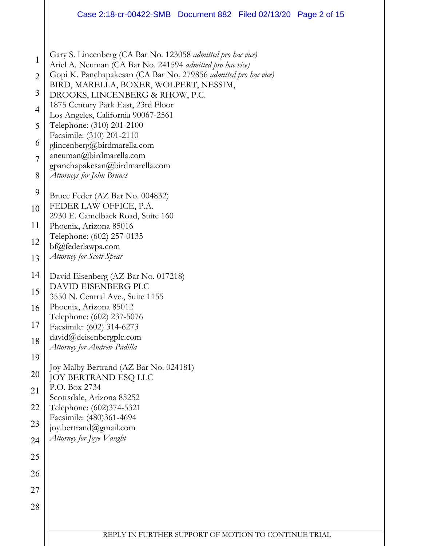|                                                                                                                                       | Case 2:18-cr-00422-SMB  Document 882  Filed 02/13/20  Page 2 of 15                                                                                                                                                                                                                                                                                                                                                                                                                                                                                                                                                                                                                                                                                                                                                                                                                                          |  |  |  |  |
|---------------------------------------------------------------------------------------------------------------------------------------|-------------------------------------------------------------------------------------------------------------------------------------------------------------------------------------------------------------------------------------------------------------------------------------------------------------------------------------------------------------------------------------------------------------------------------------------------------------------------------------------------------------------------------------------------------------------------------------------------------------------------------------------------------------------------------------------------------------------------------------------------------------------------------------------------------------------------------------------------------------------------------------------------------------|--|--|--|--|
| $\mathbf{1}$<br>$\overline{2}$<br>3<br>$\overline{4}$<br>5<br>6<br>$\overline{7}$<br>8<br>9<br>10<br>11<br>12<br>13<br>14<br>15<br>16 | Gary S. Lincenberg (CA Bar No. 123058 admitted pro hac vice)<br>Ariel A. Neuman (CA Bar No. 241594 admitted pro hac vice)<br>Gopi K. Panchapakesan (CA Bar No. 279856 admitted pro hac vice)<br>BIRD, MARELLA, BOXER, WOLPERT, NESSIM,<br>DROOKS, LINCENBERG & RHOW, P.C.<br>1875 Century Park East, 23rd Floor<br>Los Angeles, California 90067-2561<br>Telephone: (310) 201-2100<br>Facsimile: (310) 201-2110<br>glincenberg@birdmarella.com<br>aneuman@birdmarella.com<br>gpanchapakesan@birdmarella.com<br>Attorneys for John Brunst<br>Bruce Feder (AZ Bar No. 004832)<br>FEDER LAW OFFICE, P.A.<br>2930 E. Camelback Road, Suite 160<br>Phoenix, Arizona 85016<br>Telephone: (602) 257-0135<br>bf@federlawpa.com<br>Attorney for Scott Spear<br>David Eisenberg (AZ Bar No. 017218)<br>DAVID EISENBERG PLC<br>3550 N. Central Ave., Suite 1155<br>Phoenix, Arizona 85012<br>Telephone: (602) 237-5076 |  |  |  |  |
| 17<br>18                                                                                                                              | Facsimile: (602) 314-6273<br>david@deisenbergplc.com                                                                                                                                                                                                                                                                                                                                                                                                                                                                                                                                                                                                                                                                                                                                                                                                                                                        |  |  |  |  |
| 19                                                                                                                                    | Attorney for Andrew Padilla                                                                                                                                                                                                                                                                                                                                                                                                                                                                                                                                                                                                                                                                                                                                                                                                                                                                                 |  |  |  |  |
| 20                                                                                                                                    | Joy Malby Bertrand (AZ Bar No. 024181)<br>JOY BERTRAND ESQ LLC                                                                                                                                                                                                                                                                                                                                                                                                                                                                                                                                                                                                                                                                                                                                                                                                                                              |  |  |  |  |
| 21                                                                                                                                    | P.O. Box 2734                                                                                                                                                                                                                                                                                                                                                                                                                                                                                                                                                                                                                                                                                                                                                                                                                                                                                               |  |  |  |  |
| 22                                                                                                                                    | Scottsdale, Arizona 85252<br>Telephone: (602)374-5321                                                                                                                                                                                                                                                                                                                                                                                                                                                                                                                                                                                                                                                                                                                                                                                                                                                       |  |  |  |  |
| 23                                                                                                                                    | Facsimile: (480)361-4694<br>joy.bertrand@gmail.com                                                                                                                                                                                                                                                                                                                                                                                                                                                                                                                                                                                                                                                                                                                                                                                                                                                          |  |  |  |  |
| 24                                                                                                                                    | Attorney for Joye Vaught                                                                                                                                                                                                                                                                                                                                                                                                                                                                                                                                                                                                                                                                                                                                                                                                                                                                                    |  |  |  |  |
| 25                                                                                                                                    |                                                                                                                                                                                                                                                                                                                                                                                                                                                                                                                                                                                                                                                                                                                                                                                                                                                                                                             |  |  |  |  |
| 26                                                                                                                                    |                                                                                                                                                                                                                                                                                                                                                                                                                                                                                                                                                                                                                                                                                                                                                                                                                                                                                                             |  |  |  |  |
| 27                                                                                                                                    |                                                                                                                                                                                                                                                                                                                                                                                                                                                                                                                                                                                                                                                                                                                                                                                                                                                                                                             |  |  |  |  |
| 28                                                                                                                                    |                                                                                                                                                                                                                                                                                                                                                                                                                                                                                                                                                                                                                                                                                                                                                                                                                                                                                                             |  |  |  |  |
|                                                                                                                                       | REPLY IN FURTHER SUPPORT OF MOTION TO CONTINUE TRIAL                                                                                                                                                                                                                                                                                                                                                                                                                                                                                                                                                                                                                                                                                                                                                                                                                                                        |  |  |  |  |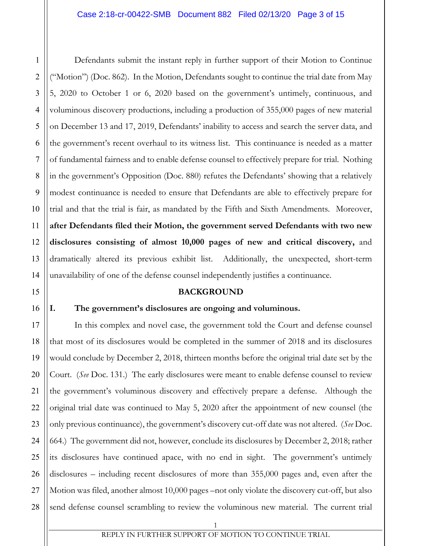1 2 3 4 5 Defendants submit the instant reply in further support of their Motion to Continue ("Motion") (Doc. 862). In the Motion, Defendants sought to continue the trial date from May 5, 2020 to October 1 or 6, 2020 based on the government's untimely, continuous, and voluminous discovery productions, including a production of 355,000 pages of new material on December 13 and 17, 2019, Defendants' inability to access and search the server data, and the government's recent overhaul to its witness list. This continuance is needed as a matter of fundamental fairness and to enable defense counsel to effectively prepare for trial. Nothing in the government's Opposition (Doc. 880) refutes the Defendants' showing that a relatively modest continuance is needed to ensure that Defendants are able to effectively prepare for trial and that the trial is fair, as mandated by the Fifth and Sixth Amendments. Moreover, **after Defendants filed their Motion, the government served Defendants with two new disclosures consisting of almost 10,000 pages of new and critical discovery,** and dramatically altered its previous exhibit list. Additionally, the unexpected, short-term unavailability of one of the defense counsel independently justifies a continuance.

### **BACKGROUND**

## **I. The government's disclosures are ongoing and voluminous.**

In this complex and novel case, the government told the Court and defense counsel that most of its disclosures would be completed in the summer of 2018 and its disclosures would conclude by December 2, 2018, thirteen months before the original trial date set by the Court. (*See* Doc. 131.) The early disclosures were meant to enable defense counsel to review the government's voluminous discovery and effectively prepare a defense. Although the original trial date was continued to May 5, 2020 after the appointment of new counsel (the only previous continuance), the government's discovery cut-off date was not altered. (*See* Doc. 664.) The government did not, however, conclude its disclosures by December 2, 2018; rather its disclosures have continued apace, with no end in sight. The government's untimely disclosures – including recent disclosures of more than 355,000 pages and, even after the Motion was filed, another almost 10,000 pages –not only violate the discovery cut-off, but also send defense counsel scrambling to review the voluminous new material. The current trial

REPLY IN FURTHER SUPPORT OF MOTION TO CONTINUE TRIAL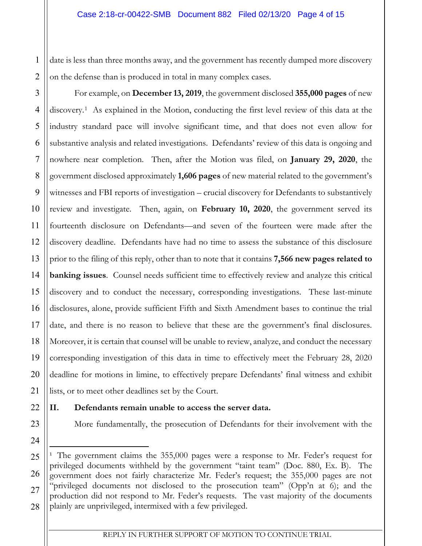1 2 on the defense than is produced in total in many complex cases.

3 4 5 6 7 8 9 10 11 12 13 14 15 16 17 18 19 20 21 1 date is less than these months away, and the government has recently dumped more discovery<br>
2 Tor example, on December 13, 2019, the government disclosed 355,000 pages of new<br>
4 discovery.<sup>1</sup> As explained in the Motion, For example, on **December 13, 2019**, the government disclosed **355,000 pages** of new discovery.[1](#page-3-0) As explained in the Motion, conducting the first level review of this data at the industry standard pace will involve significant time, and that does not even allow for substantive analysis and related investigations. Defendants' review of this data is ongoing and nowhere near completion. Then, after the Motion was filed, on **January 29, 2020**, the government disclosed approximately **1,606 pages** of new material related to the government's witnesses and FBI reports of investigation – crucial discovery for Defendants to substantively review and investigate. Then, again, on **February 10, 2020**, the government served its fourteenth disclosure on Defendants—and seven of the fourteen were made after the discovery deadline. Defendants have had no time to assess the substance of this disclosure prior to the filing of this reply, other than to note that it contains **7,566 new pages related to banking issues**. Counsel needs sufficient time to effectively review and analyze this critical discovery and to conduct the necessary, corresponding investigations. These last-minute disclosures, alone, provide sufficient Fifth and Sixth Amendment bases to continue the trial date, and there is no reason to believe that these are the government's final disclosures. Moreover, it is certain that counsel will be unable to review, analyze, and conduct the necessary corresponding investigation of this data in time to effectively meet the February 28, 2020 deadline for motions in limine, to effectively prepare Defendants' final witness and exhibit lists, or to meet other deadlines set by the Court.

22

23

24

# **II. Defendants remain unable to access the server data.**

More fundamentally, the prosecution of Defendants for their involvement with the

<span id="page-3-0"></span><sup>25</sup> 26 27 28 <sup>1</sup> The government claims the 355,000 pages were a response to Mr. Feder's request for privileged documents withheld by the government "taint team" (Doc. 880, Ex. B). The government does not fairly characterize Mr. Feder's request; the 355,000 pages are not "privileged documents not disclosed to the prosecution team" (Opp'n at 6); and the production did not respond to Mr. Feder's requests. The vast majority of the documents plainly are unprivileged, intermixed with a few privileged.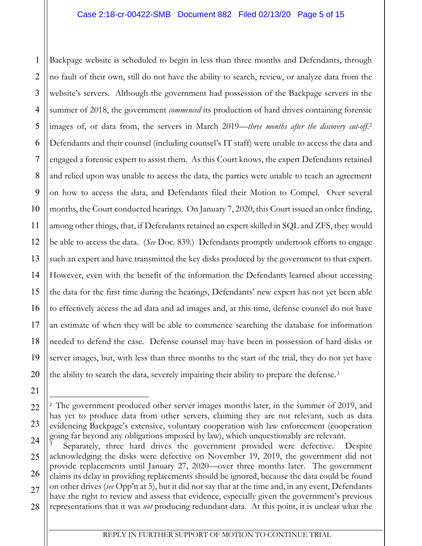1 2 3 4 5 6 7 8 9 10 11 12 13 14 15 16 17 18 19 20 13134618878 11 motion is scheduled to begin in less than three months and Defendants, through  $\mu$  to fair of third vibris in the didity to secure, or manked with free transfer dual free schedule free transfer dual free t no fault of their own, still do not have the ability to search, review, or analyze data from the website's servers. Although the government had possession of the Backpage servers in the summer of 2018, the government *commenced* its production of hard drives containing forensic images of, or data from, the servers in March 2019—*three months after the discovery cut-off*.[2](#page-4-0) Defendants and their counsel (including counsel's IT staff) were unable to access the data and engaged a forensic expert to assist them. As this Court knows, the expert Defendants retained and relied upon was unable to access the data, the parties were unable to reach an agreement on how to access the data, and Defendants filed their Motion to Compel. Over several months, the Court conducted hearings. On January 7, 2020, this Court issued an order finding, among other things, that, if Defendants retained an expert skilled in SQL and ZFS, they would be able to access the data. (*See* Doc. 839.) Defendants promptly undertook efforts to engage such an expert and have transmitted the key disks produced by the government to that expert. However, even with the benefit of the information the Defendants learned about accessing the data for the first time during the hearings, Defendants' new expert has not yet been able to effectively access the ad data and ad images and, at this time, defense counsel do not have an estimate of when they will be able to commence searching the database for information needed to defend the case. Defense counsel may have been in possession of hard disks or server images, but, with less than three months to the start of the trial, they do not yet have the ability to search the data, severely impairing their ability to prepare the defense.[3](#page-4-1)

21

<span id="page-4-0"></span>22

23

<sup>&</sup>lt;sup>2</sup> The government produced other server images months later, in the summer of 2019, and has yet to produce data from other servers, claiming they are not relevant, such as data evidencing Backpage's extensive, voluntary cooperation with law enforcement (cooperation going far beyond any obligations imposed by law), which unquestionably are relevant.

<span id="page-4-1"></span><sup>24</sup> 25 26 27 28 3 Separately, three hard drives the government provided were defective. Despite acknowledging the disks were defective on November 19, 2019, the government did not provide replacements until January 27, 2020—over three months later. The government claims its delay in providing replacements should be ignored, because the data could be found on other drives (*see* Opp'n at 5), but it did not say that at the time and, in any event, Defendants have the right to review and assess that evidence, especially given the government's previous representations that it was *not* producing redundant data. At this point, it is unclear what the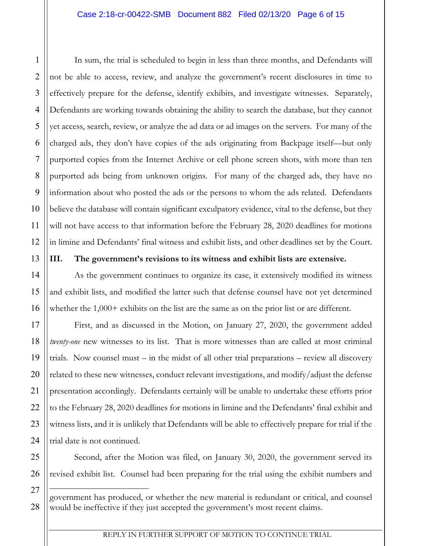16 suns, the read is scheduled to begin in less than three months, and Defendants will<br>
2 rol be able to accesso, seview, and analyze the government's recent disclosures in time to<br>
13 effectively peeper for the defends, i not be able to access, review, and analyze the government's recent disclosures in time to effectively prepare for the defense, identify exhibits, and investigate witnesses. Separately, Defendants are working towards obtaining the ability to search the database, but they cannot yet access, search, review, or analyze the ad data or ad images on the servers. For many of the charged ads, they don't have copies of the ads originating from Backpage itself—but only purported copies from the Internet Archive or cell phone screen shots, with more than ten purported ads being from unknown origins. For many of the charged ads, they have no information about who posted the ads or the persons to whom the ads related. Defendants believe the database will contain significant exculpatory evidence, vital to the defense, but they will not have access to that information before the February 28, 2020 deadlines for motions in limine and Defendants' final witness and exhibit lists, and other deadlines set by the Court.

**III. The government's revisions to its witness and exhibit lists are extensive.** 

As the government continues to organize its case, it extensively modified its witness and exhibit lists, and modified the latter such that defense counsel have not yet determined whether the 1,000+ exhibits on the list are the same as on the prior list or are different.

First, and as discussed in the Motion, on January 27, 2020, the government added *twenty-one* new witnesses to its list. That is more witnesses than are called at most criminal trials. Now counsel must – in the midst of all other trial preparations – review all discovery related to these new witnesses, conduct relevant investigations, and modify/adjust the defense presentation accordingly. Defendants certainly will be unable to undertake these efforts prior to the February 28, 2020 deadlines for motions in limine and the Defendants' final exhibit and witness lists, and it is unlikely that Defendants will be able to effectively prepare for trial if the trial date is not continued.

Second, after the Motion was filed, on January 30, 2020, the government served its revised exhibit list. Counsel had been preparing for the trial using the exhibit numbers and

government has produced, or whether the new material is redundant or critical, and counsel would be ineffective if they just accepted the government's most recent claims.

1

2

3

REPLY IN FURTHER SUPPORT OF MOTION TO CONTINUE TRIAL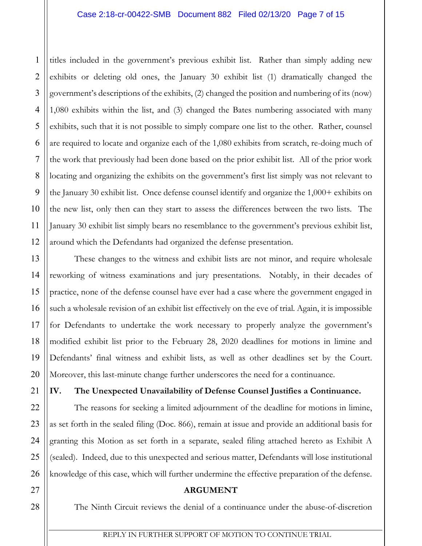2 3 4 5 6 7 8 9 10 11 12 1 and the synconomit's previous exhibit list. Rather than simply adding new continuously compated the summer 30 exhibits in (1) domantially changed the proposition of a synconometric distance of the government's descriptio exhibits or deleting old ones, the January 30 exhibit list (1) dramatically changed the government's descriptions of the exhibits, (2) changed the position and numbering of its (now) 1,080 exhibits within the list, and (3) changed the Bates numbering associated with many exhibits, such that it is not possible to simply compare one list to the other. Rather, counsel are required to locate and organize each of the 1,080 exhibits from scratch, re-doing much of the work that previously had been done based on the prior exhibit list. All of the prior work locating and organizing the exhibits on the government's first list simply was not relevant to the January 30 exhibit list. Once defense counsel identify and organize the 1,000+ exhibits on the new list, only then can they start to assess the differences between the two lists. The January 30 exhibit list simply bears no resemblance to the government's previous exhibit list, around which the Defendants had organized the defense presentation.

These changes to the witness and exhibit lists are not minor, and require wholesale reworking of witness examinations and jury presentations. Notably, in their decades of practice, none of the defense counsel have ever had a case where the government engaged in such a wholesale revision of an exhibit list effectively on the eve of trial. Again, it is impossible for Defendants to undertake the work necessary to properly analyze the government's modified exhibit list prior to the February 28, 2020 deadlines for motions in limine and Defendants' final witness and exhibit lists, as well as other deadlines set by the Court. Moreover, this last-minute change further underscores the need for a continuance.

**IV. The Unexpected Unavailability of Defense Counsel Justifies a Continuance.**

The reasons for seeking a limited adjournment of the deadline for motions in limine, as set forth in the sealed filing (Doc. 866), remain at issue and provide an additional basis for granting this Motion as set forth in a separate, sealed filing attached hereto as Exhibit A (sealed). Indeed, due to this unexpected and serious matter, Defendants will lose institutional knowledge of this case, which will further undermine the effective preparation of the defense.

## **ARGUMENT**

The Ninth Circuit reviews the denial of a continuance under the abuse-of-discretion

1

13

14

15

16

17

18

19

20

21

22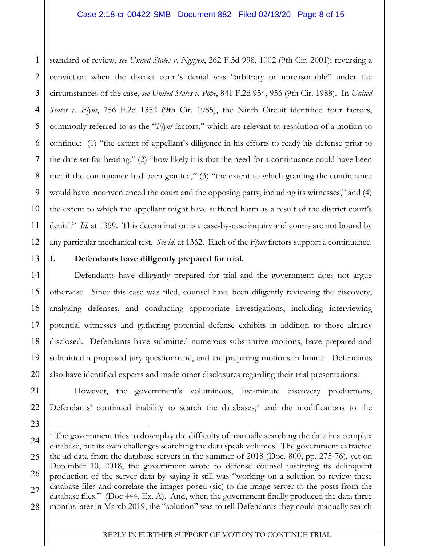### Case 2:18-cr-00422-SMB Document 882 Filed 02/13/20 Page 8 of 15

1 2 3 4 5 6 7 8 9 10 11 12 1 exaction of review, *see United States v. Nguyen*, 262 F.3d 998, 1002 (9th Cir. 2001); reversing a<br>
2 constraint-when the thetric counts' derivative was "nithing yor turnsportable" under the<br>
13 decommendard on a the "Fy conviction when the district court's denial was "arbitrary or unreasonable" under the circumstances of the case, *see United States v. Pope*, 841 F.2d 954, 956 (9th Cir. 1988). In *United States v. Flynt*, 756 F.2d 1352 (9th Cir. 1985), the Ninth Circuit identified four factors, commonly referred to as the "*Flynt* factors," which are relevant to resolution of a motion to continue: (1) "the extent of appellant's diligence in his efforts to ready his defense prior to the date set for hearing," (2) "how likely it is that the need for a continuance could have been met if the continuance had been granted," (3) "the extent to which granting the continuance would have inconvenienced the court and the opposing party, including its witnesses," and (4) the extent to which the appellant might have suffered harm as a result of the district court's denial." *Id*. at 1359. This determination is a case-by-case inquiry and courts are not bound by any particular mechanical test. *See id*. at 1362. Each of the *Flynt* factors support a continuance.

13

14

15

16

17

18

19

20

23

# **I. Defendants have diligently prepared for trial.**

Defendants have diligently prepared for trial and the government does not argue otherwise. Since this case was filed, counsel have been diligently reviewing the discovery, analyzing defenses, and conducting appropriate investigations, including interviewing potential witnesses and gathering potential defense exhibits in addition to those already disclosed. Defendants have submitted numerous substantive motions, have prepared and submitted a proposed jury questionnaire, and are preparing motions in limine. Defendants also have identified experts and made other disclosures regarding their trial presentations.

21 22 However, the government's voluminous, last-minute discovery productions, Defendants' continued inability to search the databases,<sup>[4](#page-7-0)</sup> and the modifications to the

<span id="page-7-0"></span><sup>24</sup> 25 26 27 28 4 The government tries to downplay the difficulty of manually searching the data in a complex database, but its own challenges searching the data speak volumes. The government extracted the ad data from the database servers in the summer of 2018 (Doc. 800, pp. 275-76), yet on December 10, 2018, the government wrote to defense counsel justifying its delinquent production of the server data by saying it still was "working on a solution to review these database files and correlate the images posed (sic) to the image server to the posts from the database files." (Doc 444, Ex. A). And, when the government finally produced the data three months later in March 2019, the "solution" was to tell Defendants they could manually search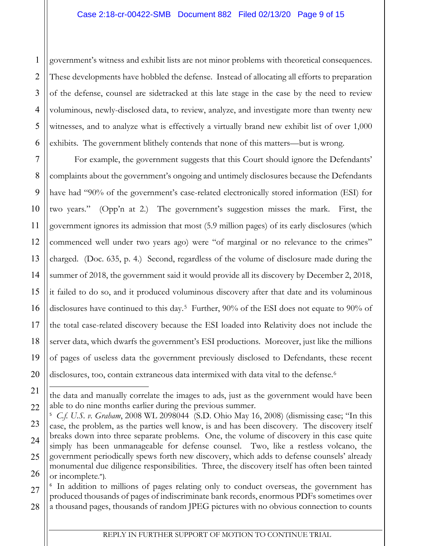1 2 These developments have hobbled the defense. Instead of allocating all efforts to preparation of the defense, counsel are sidetracked at this late stage in the case by the need to review voluminous, newly-disclosed data, to review, analyze, and investigate more than twenty new witnesses, and to analyze what is effectively a virtually brand new exhibit list of over 1,000 exhibits. The government blithely contends that none of this matters—but is wrong.

1 government's winnes and exhibit lists are not minor problems with theoretical consequences.<br>
2 Those developments have holded at this last stage in the case by the need to review<br>
4 voluminous, newly distolated at this For example, the government suggests that this Court should ignore the Defendants' complaints about the government's ongoing and untimely disclosures because the Defendants have had "90% of the government's case-related electronically stored information (ESI) for two years." (Opp'n at 2.) The government's suggestion misses the mark. First, the government ignores its admission that most (5.9 million pages) of its early disclosures (which commenced well under two years ago) were "of marginal or no relevance to the crimes" charged. (Doc. 635, p. 4.) Second, regardless of the volume of disclosure made during the summer of 2018, the government said it would provide all its discovery by December 2, 2018, it failed to do so, and it produced voluminous discovery after that date and its voluminous disclosures have continued to this day.<sup>[5](#page-8-0)</sup> Further, 90% of the ESI does not equate to 90% of the total case-related discovery because the ESI loaded into Relativity does not include the server data, which dwarfs the government's ESI productions. Moreover, just like the millions of pages of useless data the government previously disclosed to Defendants, these recent disclosures, too, contain extraneous data intermixed with data vital to the defense.<sup>[6](#page-8-1)</sup>

the data and manually correlate the images to ads, just as the government would have been able to do nine months earlier during the previous summer.

<span id="page-8-0"></span><sup>5</sup>  *C.f. U.S. v. Graham*, 2008 WL 2098044 (S.D. Ohio May 16, 2008) (dismissing case; "In this case, the problem, as the parties well know, is and has been discovery. The discovery itself breaks down into three separate problems. One, the volume of discovery in this case quite simply has been unmanageable for defense counsel. Two, like a restless volcano, the government periodically spews forth new discovery, which adds to defense counsels' already monumental due diligence responsibilities. Three, the discovery itself has often been tainted or incomplete.").

<span id="page-8-1"></span><sup>&</sup>lt;sup>6</sup> In addition to millions of pages relating only to conduct overseas, the government has produced thousands of pages of indiscriminate bank records, enormous PDFs sometimes over

<sup>28</sup> a thousand pages, thousands of random JPEG pictures with no obvious connection to counts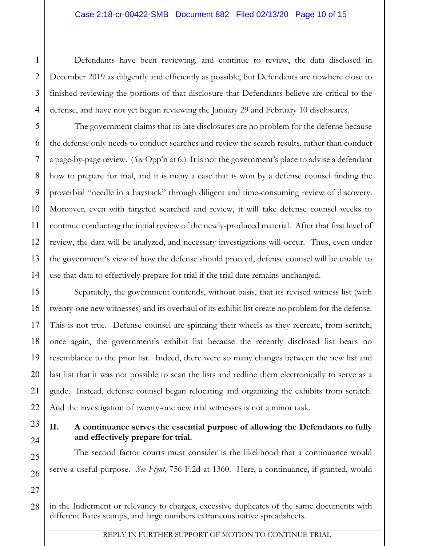December 2019 as diligently and efficiently as possible, but Defendants are nowhere close to finished reviewing the portions of that disclosure that Defendants believe are critical to the defense, and have not yet begun reviewing the January 29 and February 10 disclosures.

1234 The continuous have been reviewing, and convinue to review, the data disclosed in<br>
23 The context of the diligendy and efficiently as possible, but Defendants helieve are critical to<br>
4 dictions, and have not yet bega The government claims that its late disclosures are no problem for the defense because the defense only needs to conduct searches and review the search results, rather than conduct a page-by-page review. (*See* Opp'n at 6.) It is not the government's place to advise a defendant how to prepare for trial, and it is many a case that is won by a defense counsel finding the proverbial "needle in a haystack" through diligent and time-consuming review of discovery. Moreover, even with targeted searched and review, it will take defense counsel weeks to continue conducting the initial review of the newly-produced material. After that first level of review, the data will be analyzed, and necessary investigations will occur. Thus, even under the government's view of how the defense should proceed, defense counsel will be unable to use that data to effectively prepare for trial if the trial date remains unchanged.

Separately, the government contends, without basis, that its revised witness list (with twenty-one new witnesses) and its overhaul of its exhibit list create no problem for the defense. This is not true. Defense counsel are spinning their wheels as they recreate, from scratch, once again, the government's exhibit list because the recently disclosed list bears no resemblance to the prior list. Indeed, there were so many changes between the new list and last list that it was not possible to scan the lists and redline them electronically to serve as a guide. Instead, defense counsel began relocating and organizing the exhibits from scratch. And the investigation of twenty-one new trial witnesses is not a minor task.

**II. A continuance serves the essential purpose of allowing the Defendants to fully and effectively prepare for trial.**

The second factor courts must consider is the likelihood that a continuance would serve a useful purpose. *See Flynt*, 756 F.2d at 1360. Here, a continuance, if granted, would

1

in the Indictment or relevancy to charges, excessive duplicates of the same documents with different Bates stamps, and large numbers extraneous native spreadsheets.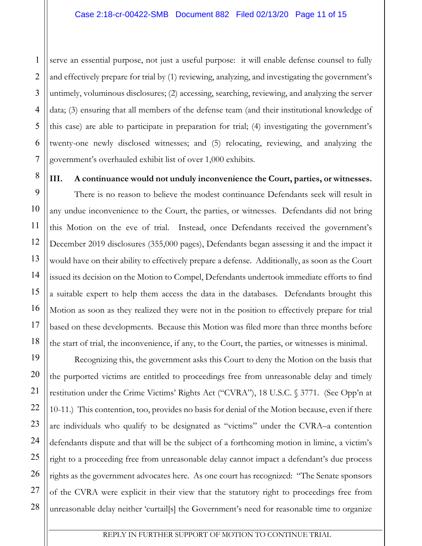1 2 3 4 5 6 7 and effectively prepare for trial by (1) reviewing, analyzing, and investigating the government's untimely, voluminous disclosures; (2) accessing, searching, reviewing, and analyzing the server data; (3) ensuring that all members of the defense team (and their institutional knowledge of this case) are able to participate in preparation for trial; (4) investigating the government's twenty-one newly disclosed witnesses; and (5) relocating, reviewing, and analyzing the government's overhauled exhibit list of over 1,000 exhibits.

8

9

10

11

12

13

14

15

16

17

18

19

20

21

22

23

24

25

26

27

28

**III. A continuance would not unduly inconvenience the Court, parties, or witnesses.**

1 access an essential purpose, not just a useful purpose: it will entitle defense counsel to fully<br>
2 and effectively prepare for that by (1) reviewing, and investigating and investigating the november of<br>
4 data; (3) ens There is no reason to believe the modest continuance Defendants seek will result in any undue inconvenience to the Court, the parties, or witnesses. Defendants did not bring this Motion on the eve of trial. Instead, once Defendants received the government's December 2019 disclosures (355,000 pages), Defendants began assessing it and the impact it would have on their ability to effectively prepare a defense. Additionally, as soon as the Court issued its decision on the Motion to Compel, Defendants undertook immediate efforts to find a suitable expert to help them access the data in the databases. Defendants brought this Motion as soon as they realized they were not in the position to effectively prepare for trial based on these developments. Because this Motion was filed more than three months before the start of trial, the inconvenience, if any, to the Court, the parties, or witnesses is minimal.

Recognizing this, the government asks this Court to deny the Motion on the basis that the purported victims are entitled to proceedings free from unreasonable delay and timely restitution under the Crime Victims' Rights Act ("CVRA"), 18 U.S.C. § 3771. (See Opp'n at 10-11.) This contention, too, provides no basis for denial of the Motion because, even if there are individuals who qualify to be designated as "victims" under the CVRA–a contention defendants dispute and that will be the subject of a forthcoming motion in limine, a victim's right to a proceeding free from unreasonable delay cannot impact a defendant's due process rights as the government advocates here. As one court has recognized: "The Senate sponsors of the CVRA were explicit in their view that the statutory right to proceedings free from unreasonable delay neither 'curtail[s] the Government's need for reasonable time to organize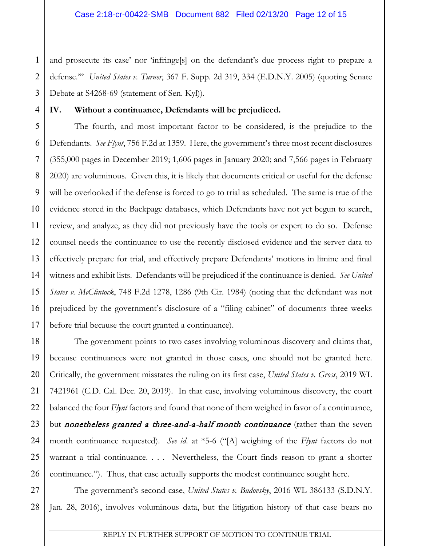1 2 3 defense.'" *United States v. Turner*, 367 F. Supp. 2d 319, 334 (E.D.N.Y. 2005) (quoting Senate Debate at S4268-69 (statement of Sen. Kyl)).

**IV. Without a continuance, Defendants will be prejudiced.**

4

5

6

7

8

9

10

11

12

13

15

17

18

19

20

21

22

23

24

25

26

14 16 1 and proocence is case' nor 'infringel] on the defendant's due process right to prepare a<br>
2 Lietuxe." United Moto X Town 367 F. Supp. 24 319, 334 (ELDN.Y. 2005) (quoting Serate<br>
12 Lietuxe." UNiteduta continuances, Defe The fourth, and most important factor to be considered, is the prejudice to the Defendants. *See Flynt*, 756 F.2d at 1359. Here, the government's three most recent disclosures (355,000 pages in December 2019; 1,606 pages in January 2020; and 7,566 pages in February 2020) are voluminous. Given this, it is likely that documents critical or useful for the defense will be overlooked if the defense is forced to go to trial as scheduled. The same is true of the evidence stored in the Backpage databases, which Defendants have not yet begun to search, review, and analyze, as they did not previously have the tools or expert to do so. Defense counsel needs the continuance to use the recently disclosed evidence and the server data to effectively prepare for trial, and effectively prepare Defendants' motions in limine and final witness and exhibit lists. Defendants will be prejudiced if the continuance is denied. *See United States v. McClintock*, 748 F.2d 1278, 1286 (9th Cir. 1984) (noting that the defendant was not prejudiced by the government's disclosure of a "filing cabinet" of documents three weeks before trial because the court granted a continuance).

The government points to two cases involving voluminous discovery and claims that, because continuances were not granted in those cases, one should not be granted here. Critically, the government misstates the ruling on its first case, *United States v. Gross*, 2019 WL 7421961 (C.D. Cal. Dec. 20, 2019). In that case, involving voluminous discovery, the court balanced the four *Flynt* factors and found that none of them weighed in favor of a continuance, but nonetheless granted a three-and-a-half month continuance (rather than the seven month continuance requested). *See id*. at \*5-6 ("[A] weighing of the *Flynt* factors do not warrant a trial continuance. . . . Nevertheless, the Court finds reason to grant a shorter continuance."). Thus, that case actually supports the modest continuance sought here.

27 28 The government's second case, *United States v. Budovsky*, 2016 WL 386133 (S.D.N.Y. Jan. 28, 2016), involves voluminous data, but the litigation history of that case bears no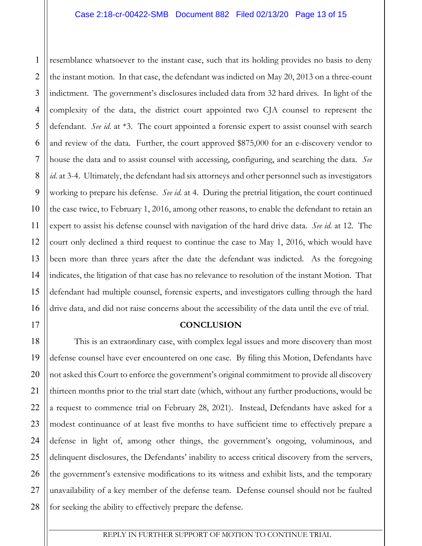1 2 3 4 5 6 7 8 9 10 11 12 13 14 15 16 1234 (assemblance whateverse to the instant case, such that its holding provides no basis to dery<br>
22 derivative solution to the three their defendant was indiced density of the count alternative such a three count<br>
43 in the instant motion. In that case, the defendant was indicted on May 20, 2013 on a three-count indictment. The government's disclosures included data from 32 hard drives. In light of the complexity of the data, the district court appointed two CJA counsel to represent the defendant. *See id*. at \*3. The court appointed a forensic expert to assist counsel with search and review of the data. Further, the court approved \$875,000 for an e-discovery vendor to house the data and to assist counsel with accessing, configuring, and searching the data. *See id.* at 3-4. Ultimately, the defendant had six attorneys and other personnel such as investigators working to prepare his defense. *See id*. at 4. During the pretrial litigation, the court continued the case twice, to February 1, 2016, among other reasons, to enable the defendant to retain an expert to assist his defense counsel with navigation of the hard drive data. *See id*. at 12. The court only declined a third request to continue the case to May 1, 2016, which would have been more than three years after the date the defendant was indicted. As the foregoing indicates, the litigation of that case has no relevance to resolution of the instant Motion. That defendant had multiple counsel, forensic experts, and investigators culling through the hard drive data, and did not raise concerns about the accessibility of the data until the eve of trial.

### **CONCLUSION**

17

18

19

20

21

22

23

24

25

26

27

28

This is an extraordinary case, with complex legal issues and more discovery than most defense counsel have ever encountered on one case. By filing this Motion, Defendants have not asked this Court to enforce the government's original commitment to provide all discovery thirteen months prior to the trial start date (which, without any further productions, would be a request to commence trial on February 28, 2021). Instead, Defendants have asked for a modest continuance of at least five months to have sufficient time to effectively prepare a defense in light of, among other things, the government's ongoing, voluminous, and delinquent disclosures, the Defendants' inability to access critical discovery from the servers, the government's extensive modifications to its witness and exhibit lists, and the temporary unavailability of a key member of the defense team. Defense counsel should not be faulted for seeking the ability to effectively prepare the defense.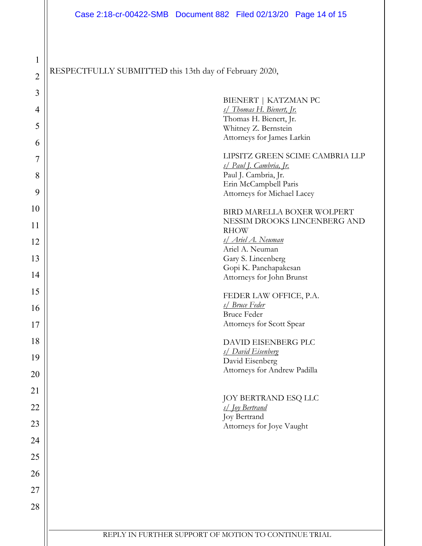1

10

11

12

13

14

15

16

17

18

19

20

21

22

23

24

25

26

27

28

| $\mathbf{1}$   |                                                        |  |  |  |
|----------------|--------------------------------------------------------|--|--|--|
| $\overline{2}$ | RESPECTFULLY SUBMITTED this 13th day of February 2020, |  |  |  |
| $\mathfrak{Z}$ | BIENERT   KATZMAN PC                                   |  |  |  |
| $\overline{4}$ | s/ Thomas H. Bienert, Jr.                              |  |  |  |
|                | Thomas H. Bienert, Jr.                                 |  |  |  |
| 5              | Whitney Z. Bernstein                                   |  |  |  |
| 6              | Attorneys for James Larkin                             |  |  |  |
| 7              | LIPSITZ GREEN SCIME CAMBRIA LLP                        |  |  |  |
| 8              | s/ Paul J. Cambria, Jr.<br>Paul J. Cambria, Jr.        |  |  |  |
|                | Erin McCampbell Paris                                  |  |  |  |
| 9              | Attorneys for Michael Lacey                            |  |  |  |
| 10             |                                                        |  |  |  |
|                | BIRD MARELLA BOXER WOLPERT                             |  |  |  |
| 11             | NESSIM DROOKS LINCENBERG AND<br><b>RHOW</b>            |  |  |  |
| 12             | s/ Ariel A. Neuman                                     |  |  |  |
|                | Ariel A. Neuman                                        |  |  |  |
| 13             | Gary S. Lincenberg                                     |  |  |  |
| 14             | Gopi K. Panchapakesan<br>Attorneys for John Brunst     |  |  |  |
|                |                                                        |  |  |  |
| 15             | FEDER LAW OFFICE, P.A.                                 |  |  |  |
| 16             | s/ Bruce Feder                                         |  |  |  |
|                | <b>Bruce Feder</b><br>Attorneys for Scott Spear        |  |  |  |
| 17             |                                                        |  |  |  |
| 18             | DAVID EISENBERG PLC                                    |  |  |  |
| 19             | s/ David Eisenberg                                     |  |  |  |
|                | David Eisenberg<br>Attorneys for Andrew Padilla        |  |  |  |
| 20             |                                                        |  |  |  |
| 21             | <b>JOY BERTRAND ESQ LLC</b>                            |  |  |  |
| 22             | s/ Joy Bertrand                                        |  |  |  |
| 23             | Joy Bertrand                                           |  |  |  |
|                | Attorneys for Joye Vaught                              |  |  |  |
| 24             |                                                        |  |  |  |
| 25             |                                                        |  |  |  |
| 26             |                                                        |  |  |  |
| 27             |                                                        |  |  |  |
| 28             |                                                        |  |  |  |
|                |                                                        |  |  |  |

REPLY IN FURTHER SUPPORT OF MOTION TO CONTINUE TRIAL